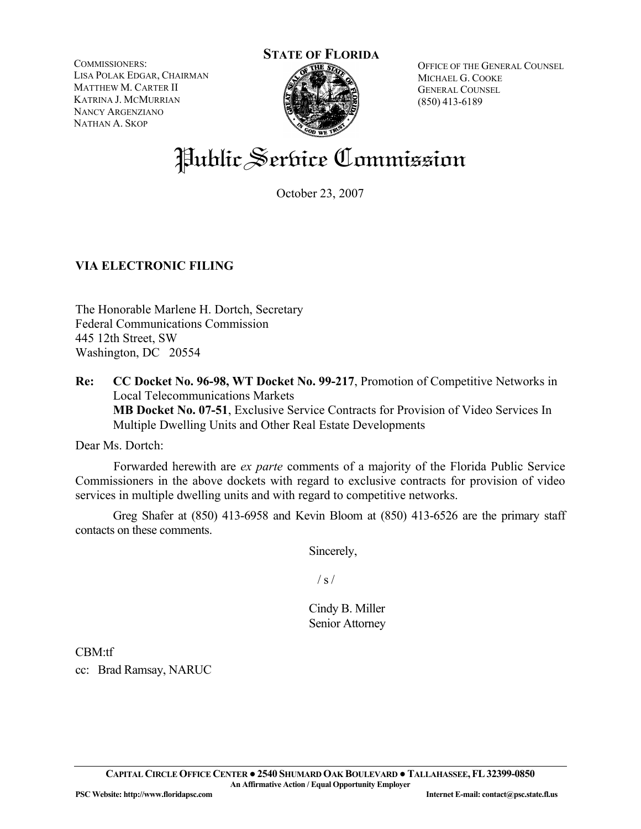COMMISSIONERS: LISA POLAK EDGAR, CHAIRMAN MATTHEW M. CARTER II KATRINA J. MCMURRIAN NANCY ARGENZIANO NATHAN A. SKOP



OFFICE OF THE GENERAL COUNSEL MICHAEL G. COOKE GENERAL COUNSEL (850) 413-6189

# Public Service Commission

October 23, 2007

# **VIA ELECTRONIC FILING**

The Honorable Marlene H. Dortch, Secretary Federal Communications Commission 445 12th Street, SW Washington, DC 20554

**Re: CC Docket No. 96-98, WT Docket No. 99-217**, Promotion of Competitive Networks in Local Telecommunications Markets  **MB Docket No. 07-51**, Exclusive Service Contracts for Provision of Video Services In Multiple Dwelling Units and Other Real Estate Developments

Dear Ms. Dortch:

 Forwarded herewith are *ex parte* comments of a majority of the Florida Public Service Commissioners in the above dockets with regard to exclusive contracts for provision of video services in multiple dwelling units and with regard to competitive networks.

Greg Shafer at (850) 413-6958 and Kevin Bloom at (850) 413-6526 are the primary staff contacts on these comments.

Sincerely,

 $/ s /$ 

Cindy B. Miller Senior Attorney

CBM:tf

cc: Brad Ramsay, NARUC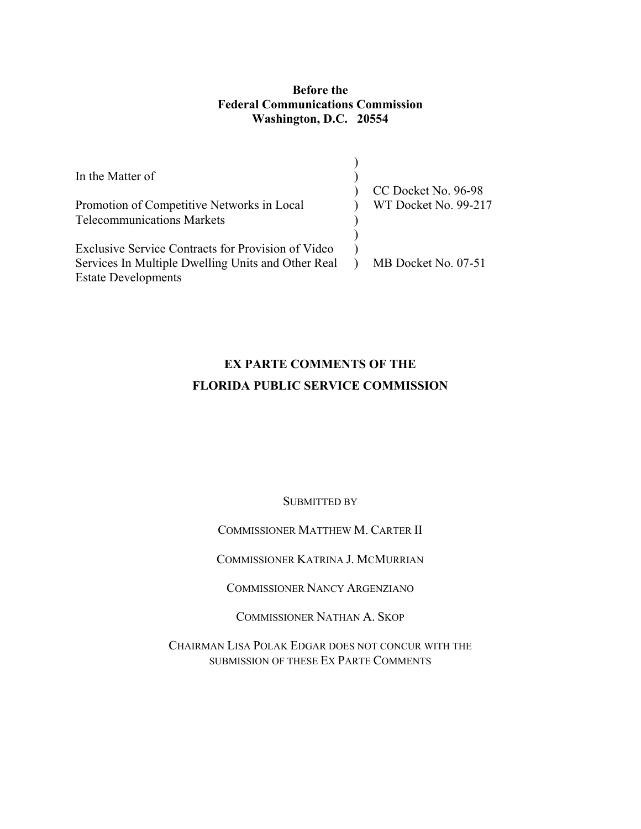# **Before the Federal Communications Commission Washington, D.C. 20554**

| In the Matter of<br>Promotion of Competitive Networks in Local<br><b>Telecommunications Markets</b>                                    | CC Docket No. 96-98<br>WT Docket No. 99-217 |
|----------------------------------------------------------------------------------------------------------------------------------------|---------------------------------------------|
| Exclusive Service Contracts for Provision of Video<br>Services In Multiple Dwelling Units and Other Real<br><b>Estate Developments</b> | MB Docket No. 07-51                         |

# **EX PARTE COMMENTS OF THE FLORIDA PUBLIC SERVICE COMMISSION**

SUBMITTED BY

COMMISSIONER MATTHEW M. CARTER II

COMMISSIONER KATRINA J. MCMURRIAN

COMMISSIONER NANCY ARGENZIANO

COMMISSIONER NATHAN A. SKOP

CHAIRMAN LISA POLAK EDGAR DOES NOT CONCUR WITH THE SUBMISSION OF THESE EX PARTE COMMENTS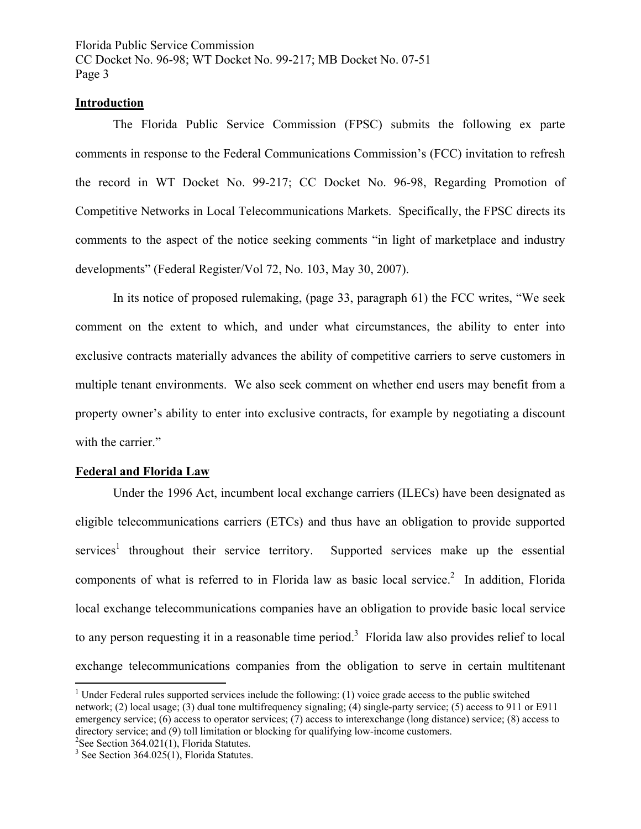#### **Introduction**

The Florida Public Service Commission (FPSC) submits the following ex parte comments in response to the Federal Communications Commission's (FCC) invitation to refresh the record in WT Docket No. 99-217; CC Docket No. 96-98, Regarding Promotion of Competitive Networks in Local Telecommunications Markets. Specifically, the FPSC directs its comments to the aspect of the notice seeking comments "in light of marketplace and industry developments" (Federal Register/Vol 72, No. 103, May 30, 2007).

In its notice of proposed rulemaking, (page 33, paragraph 61) the FCC writes, "We seek comment on the extent to which, and under what circumstances, the ability to enter into exclusive contracts materially advances the ability of competitive carriers to serve customers in multiple tenant environments. We also seek comment on whether end users may benefit from a property owner's ability to enter into exclusive contracts, for example by negotiating a discount with the carrier."

#### **Federal and Florida Law**

Under the 1996 Act, incumbent local exchange carriers (ILECs) have been designated as eligible telecommunications carriers (ETCs) and thus have an obligation to provide supported services<sup>1</sup> throughout their service territory. Supported services make up the essential components of what is referred to in Florida law as basic local service.<sup>2</sup> In addition, Florida local exchange telecommunications companies have an obligation to provide basic local service to any person requesting it in a reasonable time period.<sup>3</sup> Florida law also provides relief to local exchange telecommunications companies from the obligation to serve in certain multitenant

 $\overline{a}$ 

<sup>&</sup>lt;sup>1</sup> Under Federal rules supported services include the following: (1) voice grade access to the public switched network; (2) local usage; (3) dual tone multifrequency signaling; (4) single-party service; (5) access to 911 or E911 emergency service; (6) access to operator services; (7) access to interexchange (long distance) service; (8) access to directory service; and (9) toll limitation or blocking for qualifying low-income customers.

<sup>&</sup>lt;sup>2</sup>See Section 364.021(1), Florida Statutes.

 $3$  See Section 364.025(1), Florida Statutes.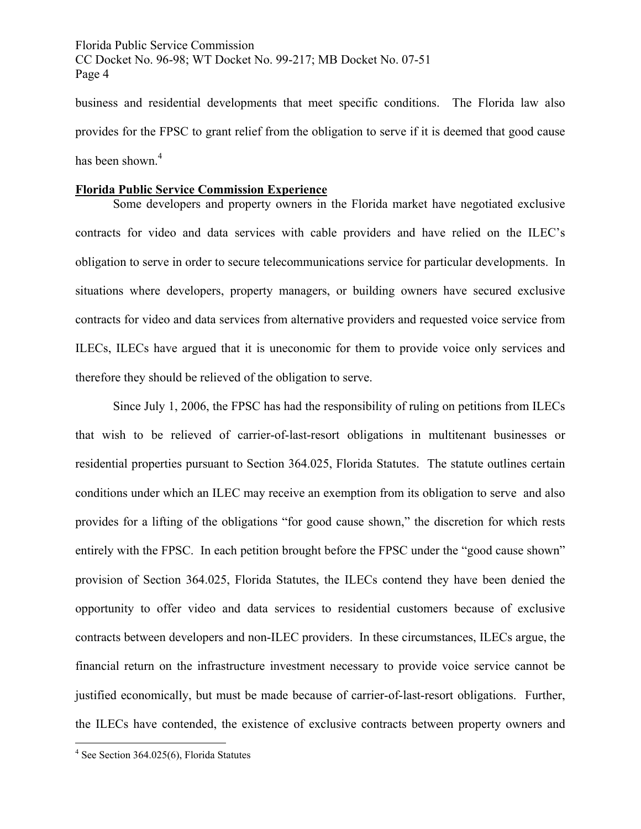business and residential developments that meet specific conditions. The Florida law also provides for the FPSC to grant relief from the obligation to serve if it is deemed that good cause has been shown.<sup>4</sup>

# **Florida Public Service Commission Experience**

Some developers and property owners in the Florida market have negotiated exclusive contracts for video and data services with cable providers and have relied on the ILEC's obligation to serve in order to secure telecommunications service for particular developments. In situations where developers, property managers, or building owners have secured exclusive contracts for video and data services from alternative providers and requested voice service from ILECs, ILECs have argued that it is uneconomic for them to provide voice only services and therefore they should be relieved of the obligation to serve.

Since July 1, 2006, the FPSC has had the responsibility of ruling on petitions from ILECs that wish to be relieved of carrier-of-last-resort obligations in multitenant businesses or residential properties pursuant to Section 364.025, Florida Statutes. The statute outlines certain conditions under which an ILEC may receive an exemption from its obligation to serve and also provides for a lifting of the obligations "for good cause shown," the discretion for which rests entirely with the FPSC. In each petition brought before the FPSC under the "good cause shown" provision of Section 364.025, Florida Statutes, the ILECs contend they have been denied the opportunity to offer video and data services to residential customers because of exclusive contracts between developers and non-ILEC providers. In these circumstances, ILECs argue, the financial return on the infrastructure investment necessary to provide voice service cannot be justified economically, but must be made because of carrier-of-last-resort obligations. Further, the ILECs have contended, the existence of exclusive contracts between property owners and

 4 See Section 364.025(6), Florida Statutes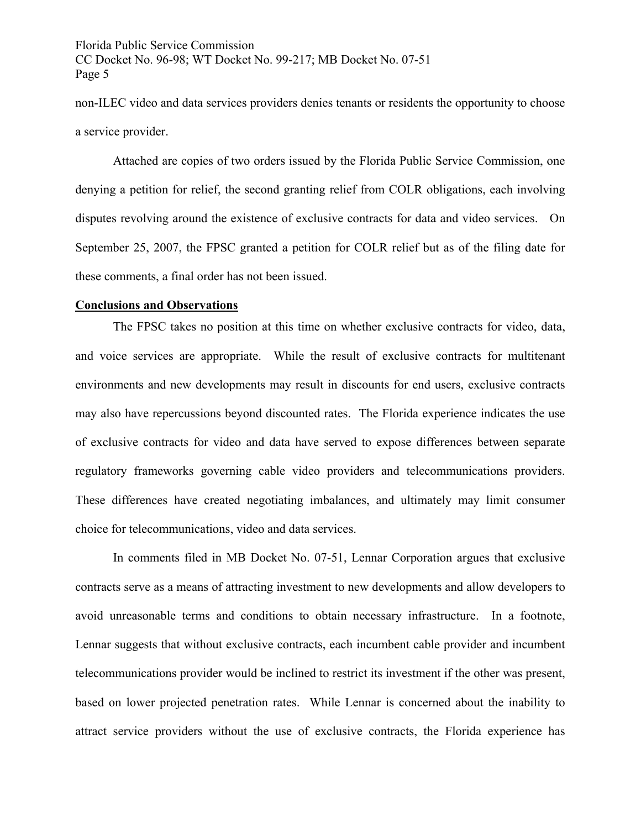non-ILEC video and data services providers denies tenants or residents the opportunity to choose a service provider.

Attached are copies of two orders issued by the Florida Public Service Commission, one denying a petition for relief, the second granting relief from COLR obligations, each involving disputes revolving around the existence of exclusive contracts for data and video services. On September 25, 2007, the FPSC granted a petition for COLR relief but as of the filing date for these comments, a final order has not been issued.

#### **Conclusions and Observations**

The FPSC takes no position at this time on whether exclusive contracts for video, data, and voice services are appropriate. While the result of exclusive contracts for multitenant environments and new developments may result in discounts for end users, exclusive contracts may also have repercussions beyond discounted rates. The Florida experience indicates the use of exclusive contracts for video and data have served to expose differences between separate regulatory frameworks governing cable video providers and telecommunications providers. These differences have created negotiating imbalances, and ultimately may limit consumer choice for telecommunications, video and data services.

In comments filed in MB Docket No. 07-51, Lennar Corporation argues that exclusive contracts serve as a means of attracting investment to new developments and allow developers to avoid unreasonable terms and conditions to obtain necessary infrastructure. In a footnote, Lennar suggests that without exclusive contracts, each incumbent cable provider and incumbent telecommunications provider would be inclined to restrict its investment if the other was present, based on lower projected penetration rates. While Lennar is concerned about the inability to attract service providers without the use of exclusive contracts, the Florida experience has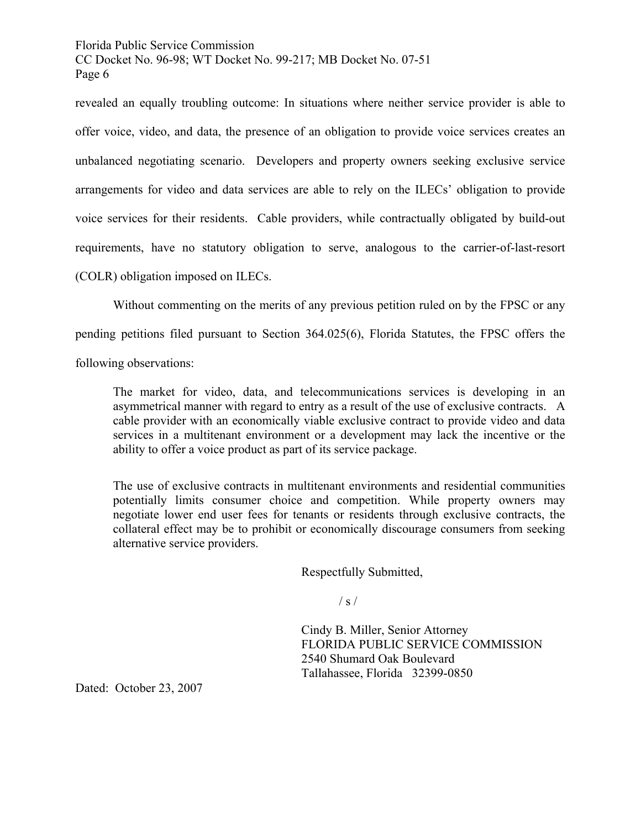revealed an equally troubling outcome: In situations where neither service provider is able to offer voice, video, and data, the presence of an obligation to provide voice services creates an unbalanced negotiating scenario. Developers and property owners seeking exclusive service arrangements for video and data services are able to rely on the ILECs' obligation to provide voice services for their residents. Cable providers, while contractually obligated by build-out requirements, have no statutory obligation to serve, analogous to the carrier-of-last-resort (COLR) obligation imposed on ILECs.

Without commenting on the merits of any previous petition ruled on by the FPSC or any

pending petitions filed pursuant to Section 364.025(6), Florida Statutes, the FPSC offers the

following observations:

The market for video, data, and telecommunications services is developing in an asymmetrical manner with regard to entry as a result of the use of exclusive contracts. A cable provider with an economically viable exclusive contract to provide video and data services in a multitenant environment or a development may lack the incentive or the ability to offer a voice product as part of its service package.

The use of exclusive contracts in multitenant environments and residential communities potentially limits consumer choice and competition. While property owners may negotiate lower end user fees for tenants or residents through exclusive contracts, the collateral effect may be to prohibit or economically discourage consumers from seeking alternative service providers.

Respectfully Submitted,

 $\frac{1}{s}$  /

 Cindy B. Miller, Senior Attorney FLORIDA PUBLIC SERVICE COMMISSION 2540 Shumard Oak Boulevard Tallahassee, Florida 32399-0850

Dated: October 23, 2007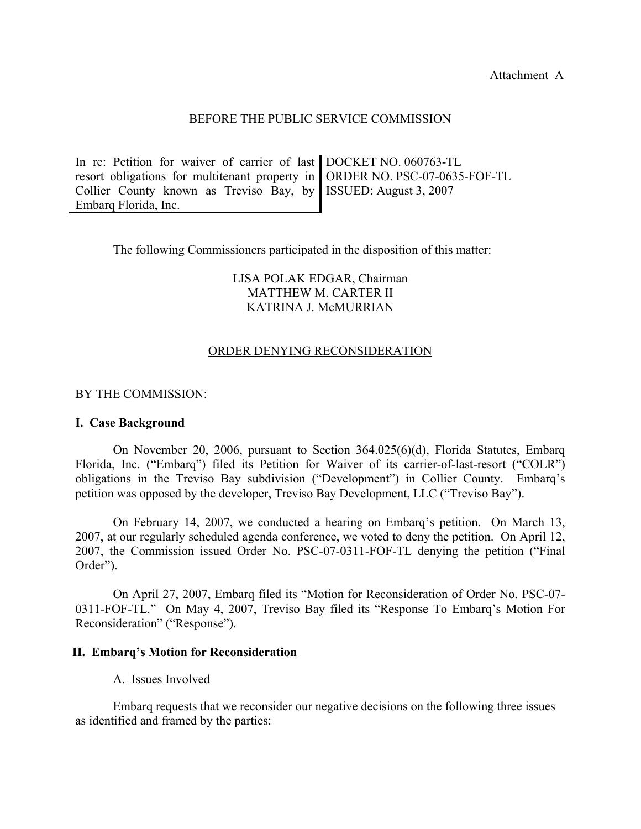Attachment A

#### BEFORE THE PUBLIC SERVICE COMMISSION

| In re: Petition for waiver of carrier of last DOCKET NO. 060763-TL             |  |
|--------------------------------------------------------------------------------|--|
| resort obligations for multitenant property in    ORDER NO. PSC-07-0635-FOF-TL |  |
| Collier County known as Treviso Bay, by    ISSUED: August 3, 2007              |  |
| Embarg Florida, Inc.                                                           |  |

The following Commissioners participated in the disposition of this matter:

# LISA POLAK EDGAR, Chairman MATTHEW M. CARTER II KATRINA J. McMURRIAN

#### ORDER DENYING RECONSIDERATION

#### BY THE COMMISSION:

#### **I. Case Background**

 On November 20, 2006, pursuant to Section 364.025(6)(d), Florida Statutes, Embarq Florida, Inc. ("Embarq") filed its Petition for Waiver of its carrier-of-last-resort ("COLR") obligations in the Treviso Bay subdivision ("Development") in Collier County. Embarq's petition was opposed by the developer, Treviso Bay Development, LLC ("Treviso Bay").

 On February 14, 2007, we conducted a hearing on Embarq's petition. On March 13, 2007, at our regularly scheduled agenda conference, we voted to deny the petition. On April 12, 2007, the Commission issued Order No. PSC-07-0311-FOF-TL denying the petition ("Final Order").

 On April 27, 2007, Embarq filed its "Motion for Reconsideration of Order No. PSC-07- 0311-FOF-TL." On May 4, 2007, Treviso Bay filed its "Response To Embarq's Motion For Reconsideration" ("Response").

#### **II. Embarq's Motion for Reconsideration**

#### A. Issues Involved

 Embarq requests that we reconsider our negative decisions on the following three issues as identified and framed by the parties: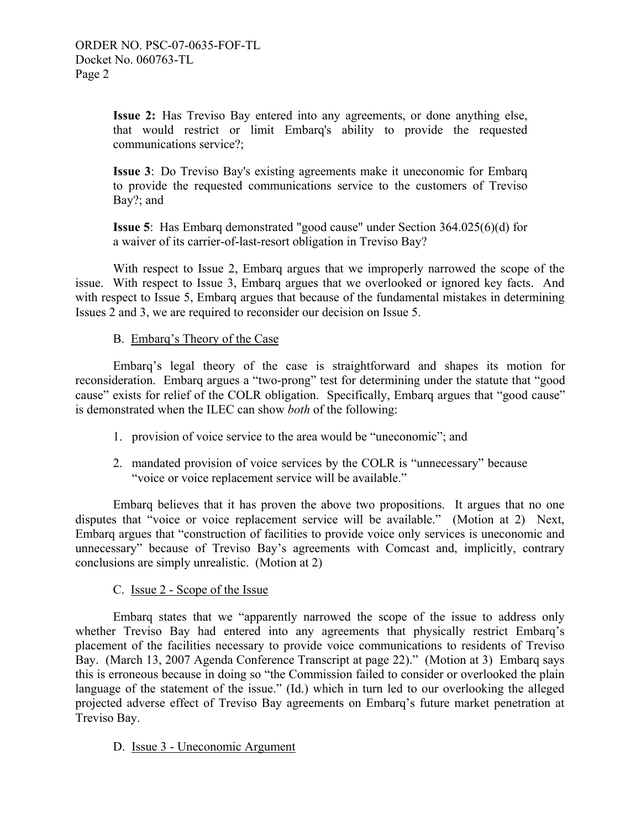**Issue 2:** Has Treviso Bay entered into any agreements, or done anything else, that would restrict or limit Embarq's ability to provide the requested communications service?;

**Issue 3**: Do Treviso Bay's existing agreements make it uneconomic for Embarq to provide the requested communications service to the customers of Treviso Bay?; and

**Issue 5**: Has Embarq demonstrated "good cause" under Section 364.025(6)(d) for a waiver of its carrier-of-last-resort obligation in Treviso Bay?

With respect to Issue 2, Embarq argues that we improperly narrowed the scope of the issue. With respect to Issue 3, Embarq argues that we overlooked or ignored key facts. And with respect to Issue 5, Embarq argues that because of the fundamental mistakes in determining Issues 2 and 3, we are required to reconsider our decision on Issue 5.

# B. Embarq's Theory of the Case

 Embarq's legal theory of the case is straightforward and shapes its motion for reconsideration. Embarq argues a "two-prong" test for determining under the statute that "good cause" exists for relief of the COLR obligation. Specifically, Embarq argues that "good cause" is demonstrated when the ILEC can show *both* of the following:

- 1. provision of voice service to the area would be "uneconomic"; and
- 2. mandated provision of voice services by the COLR is "unnecessary" because "voice or voice replacement service will be available."

 Embarq believes that it has proven the above two propositions. It argues that no one disputes that "voice or voice replacement service will be available." (Motion at 2) Next, Embarq argues that "construction of facilities to provide voice only services is uneconomic and unnecessary" because of Treviso Bay's agreements with Comcast and, implicitly, contrary conclusions are simply unrealistic. (Motion at 2)

# C.Issue 2 - Scope of the Issue

 Embarq states that we "apparently narrowed the scope of the issue to address only whether Treviso Bay had entered into any agreements that physically restrict Embarq's placement of the facilities necessary to provide voice communications to residents of Treviso Bay. (March 13, 2007 Agenda Conference Transcript at page 22)." (Motion at 3) Embarq says this is erroneous because in doing so "the Commission failed to consider or overlooked the plain language of the statement of the issue." (Id.) which in turn led to our overlooking the alleged projected adverse effect of Treviso Bay agreements on Embarq's future market penetration at Treviso Bay.

D. Issue 3 - Uneconomic Argument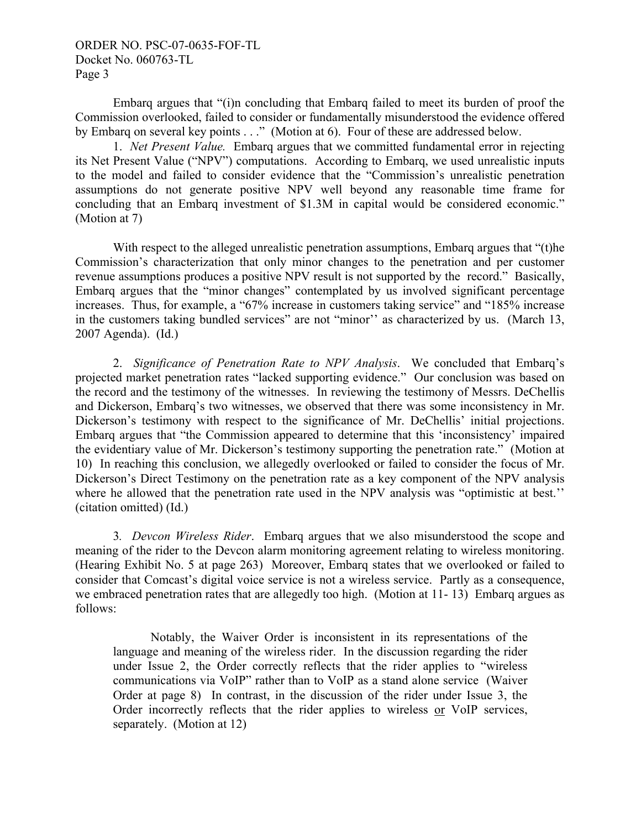ORDER NO. PSC-07-0635-FOF-TL Docket No. 060763-TL Page 3

 Embarq argues that "(i)n concluding that Embarq failed to meet its burden of proof the Commission overlooked, failed to consider or fundamentally misunderstood the evidence offered by Embarq on several key points . . ." (Motion at 6). Four of these are addressed below.

 1. *Net Present Value.* Embarq argues that we committed fundamental error in rejecting its Net Present Value ("NPV") computations. According to Embarq, we used unrealistic inputs to the model and failed to consider evidence that the "Commission's unrealistic penetration assumptions do not generate positive NPV well beyond any reasonable time frame for concluding that an Embarq investment of \$1.3M in capital would be considered economic." (Motion at 7)

 With respect to the alleged unrealistic penetration assumptions, Embarq argues that "(t)he Commission's characterization that only minor changes to the penetration and per customer revenue assumptions produces a positive NPV result is not supported by the record." Basically, Embarq argues that the "minor changes" contemplated by us involved significant percentage increases. Thus, for example, a "67% increase in customers taking service" and "185% increase in the customers taking bundled services" are not "minor'' as characterized by us. (March 13, 2007 Agenda). (Id.)

 2. *Significance of Penetration Rate to NPV Analysis*. We concluded that Embarq's projected market penetration rates "lacked supporting evidence." Our conclusion was based on the record and the testimony of the witnesses. In reviewing the testimony of Messrs. DeChellis and Dickerson, Embarq's two witnesses, we observed that there was some inconsistency in Mr. Dickerson's testimony with respect to the significance of Mr. DeChellis' initial projections. Embarq argues that "the Commission appeared to determine that this 'inconsistency' impaired the evidentiary value of Mr. Dickerson's testimony supporting the penetration rate." (Motion at 10) In reaching this conclusion, we allegedly overlooked or failed to consider the focus of Mr. Dickerson's Direct Testimony on the penetration rate as a key component of the NPV analysis where he allowed that the penetration rate used in the NPV analysis was "optimistic at best." (citation omitted) (Id.)

 3*. Devcon Wireless Rider*. Embarq argues that we also misunderstood the scope and meaning of the rider to the Devcon alarm monitoring agreement relating to wireless monitoring. (Hearing Exhibit No. 5 at page 263) Moreover, Embarq states that we overlooked or failed to consider that Comcast's digital voice service is not a wireless service. Partly as a consequence, we embraced penetration rates that are allegedly too high. (Motion at 11- 13) Embarq argues as follows:

 Notably, the Waiver Order is inconsistent in its representations of the language and meaning of the wireless rider. In the discussion regarding the rider under Issue 2, the Order correctly reflects that the rider applies to "wireless communications via VoIP" rather than to VoIP as a stand alone service (Waiver Order at page 8) In contrast, in the discussion of the rider under Issue 3, the Order incorrectly reflects that the rider applies to wireless or VoIP services, separately. (Motion at 12)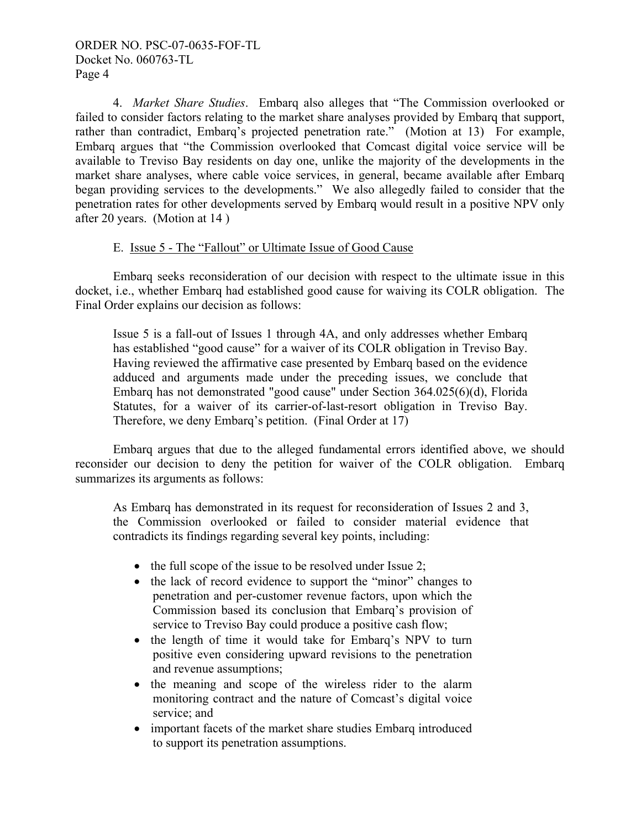4. *Market Share Studies*. Embarq also alleges that "The Commission overlooked or failed to consider factors relating to the market share analyses provided by Embarq that support, rather than contradict, Embarq's projected penetration rate." (Motion at 13) For example, Embarq argues that "the Commission overlooked that Comcast digital voice service will be available to Treviso Bay residents on day one, unlike the majority of the developments in the market share analyses, where cable voice services, in general, became available after Embarq began providing services to the developments." We also allegedly failed to consider that the penetration rates for other developments served by Embarq would result in a positive NPV only after 20 years. (Motion at 14 )

# E. Issue 5 - The "Fallout" or Ultimate Issue of Good Cause

 Embarq seeks reconsideration of our decision with respect to the ultimate issue in this docket, i.e., whether Embarq had established good cause for waiving its COLR obligation. The Final Order explains our decision as follows:

Issue 5 is a fall-out of Issues 1 through 4A, and only addresses whether Embarq has established "good cause" for a waiver of its COLR obligation in Treviso Bay. Having reviewed the affirmative case presented by Embarq based on the evidence adduced and arguments made under the preceding issues, we conclude that Embarq has not demonstrated "good cause" under Section 364.025(6)(d), Florida Statutes, for a waiver of its carrier-of-last-resort obligation in Treviso Bay. Therefore, we deny Embarq's petition. (Final Order at 17)

 Embarq argues that due to the alleged fundamental errors identified above, we should reconsider our decision to deny the petition for waiver of the COLR obligation. Embarq summarizes its arguments as follows:

As Embarq has demonstrated in its request for reconsideration of Issues 2 and 3, the Commission overlooked or failed to consider material evidence that contradicts its findings regarding several key points, including:

- the full scope of the issue to be resolved under Issue 2;
- the lack of record evidence to support the "minor" changes to penetration and per-customer revenue factors, upon which the Commission based its conclusion that Embarq's provision of service to Treviso Bay could produce a positive cash flow;
- the length of time it would take for Embarg's NPV to turn positive even considering upward revisions to the penetration and revenue assumptions;
- the meaning and scope of the wireless rider to the alarm monitoring contract and the nature of Comcast's digital voice service; and
- important facets of the market share studies Embarq introduced to support its penetration assumptions.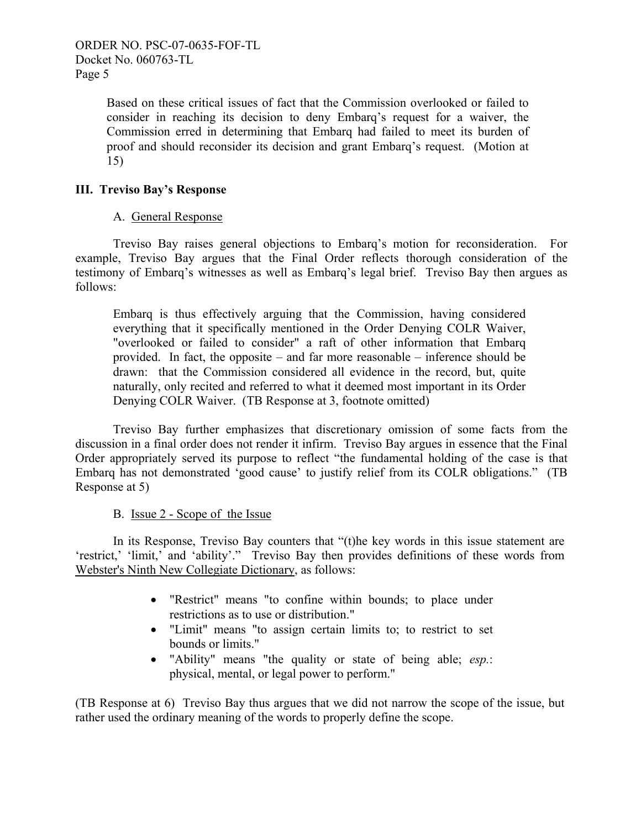Based on these critical issues of fact that the Commission overlooked or failed to consider in reaching its decision to deny Embarq's request for a waiver, the Commission erred in determining that Embarq had failed to meet its burden of proof and should reconsider its decision and grant Embarq's request. (Motion at 15)

# **III. Treviso Bay's Response**

# A. General Response

 Treviso Bay raises general objections to Embarq's motion for reconsideration. For example, Treviso Bay argues that the Final Order reflects thorough consideration of the testimony of Embarq's witnesses as well as Embarq's legal brief. Treviso Bay then argues as follows:

Embarq is thus effectively arguing that the Commission, having considered everything that it specifically mentioned in the Order Denying COLR Waiver, "overlooked or failed to consider" a raft of other information that Embarq provided. In fact, the opposite – and far more reasonable – inference should be drawn: that the Commission considered all evidence in the record, but, quite naturally, only recited and referred to what it deemed most important in its Order Denying COLR Waiver. (TB Response at 3, footnote omitted)

Treviso Bay further emphasizes that discretionary omission of some facts from the discussion in a final order does not render it infirm. Treviso Bay argues in essence that the Final Order appropriately served its purpose to reflect "the fundamental holding of the case is that Embarq has not demonstrated 'good cause' to justify relief from its COLR obligations." (TB Response at 5)

# B. Issue 2 - Scope of the Issue

In its Response, Treviso Bay counters that "(t)he key words in this issue statement are 'restrict,' 'limit,' and 'ability'." Treviso Bay then provides definitions of these words from Webster's Ninth New Collegiate Dictionary, as follows:

- "Restrict" means "to confine within bounds; to place under restrictions as to use or distribution."
- "Limit" means "to assign certain limits to; to restrict to set bounds or limits."
- "Ability" means "the quality or state of being able; *esp.*: physical, mental, or legal power to perform."

(TB Response at 6) Treviso Bay thus argues that we did not narrow the scope of the issue, but rather used the ordinary meaning of the words to properly define the scope.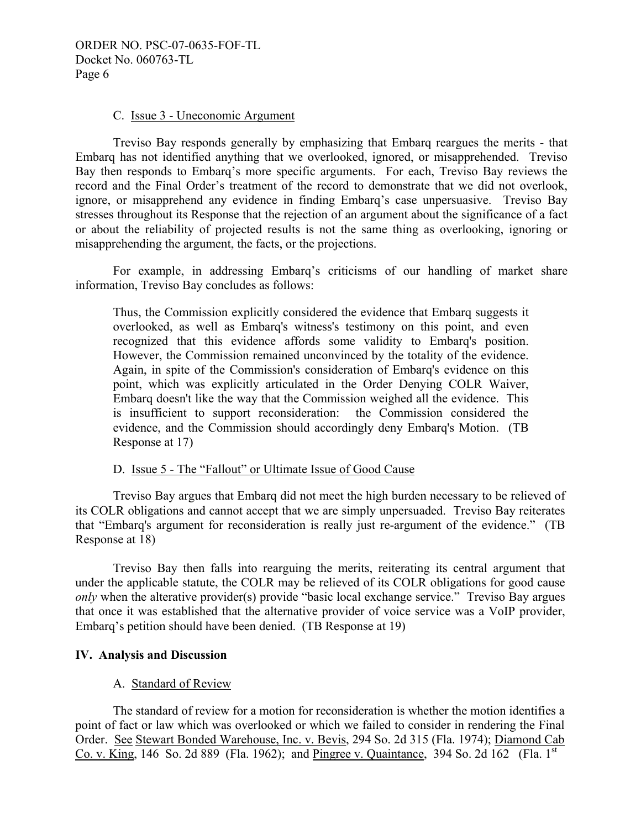# C. Issue 3 - Uneconomic Argument

 Treviso Bay responds generally by emphasizing that Embarq reargues the merits - that Embarq has not identified anything that we overlooked, ignored, or misapprehended. Treviso Bay then responds to Embarq's more specific arguments. For each, Treviso Bay reviews the record and the Final Order's treatment of the record to demonstrate that we did not overlook, ignore, or misapprehend any evidence in finding Embarq's case unpersuasive. Treviso Bay stresses throughout its Response that the rejection of an argument about the significance of a fact or about the reliability of projected results is not the same thing as overlooking, ignoring or misapprehending the argument, the facts, or the projections.

 For example, in addressing Embarq's criticisms of our handling of market share information, Treviso Bay concludes as follows:

Thus, the Commission explicitly considered the evidence that Embarq suggests it overlooked, as well as Embarq's witness's testimony on this point, and even recognized that this evidence affords some validity to Embarq's position. However, the Commission remained unconvinced by the totality of the evidence. Again, in spite of the Commission's consideration of Embarq's evidence on this point, which was explicitly articulated in the Order Denying COLR Waiver, Embarq doesn't like the way that the Commission weighed all the evidence. This is insufficient to support reconsideration: the Commission considered the evidence, and the Commission should accordingly deny Embarq's Motion. (TB Response at 17)

# D. Issue 5 - The "Fallout" or Ultimate Issue of Good Cause

Treviso Bay argues that Embarq did not meet the high burden necessary to be relieved of its COLR obligations and cannot accept that we are simply unpersuaded. Treviso Bay reiterates that "Embarq's argument for reconsideration is really just re-argument of the evidence." (TB Response at 18)

 Treviso Bay then falls into rearguing the merits, reiterating its central argument that under the applicable statute, the COLR may be relieved of its COLR obligations for good cause *only* when the alterative provider(s) provide "basic local exchange service." Treviso Bay argues that once it was established that the alternative provider of voice service was a VoIP provider, Embarq's petition should have been denied. (TB Response at 19)

# **IV. Analysis and Discussion**

# A. Standard of Review

 The standard of review for a motion for reconsideration is whether the motion identifies a point of fact or law which was overlooked or which we failed to consider in rendering the Final Order. See Stewart Bonded Warehouse, Inc. v. Bevis, 294 So. 2d 315 (Fla. 1974); Diamond Cab Co. v. King, 146 So. 2d 889 (Fla. 1962); and Pingree v. Quaintance, 394 So. 2d 162 (Fla. 1<sup>st</sup>)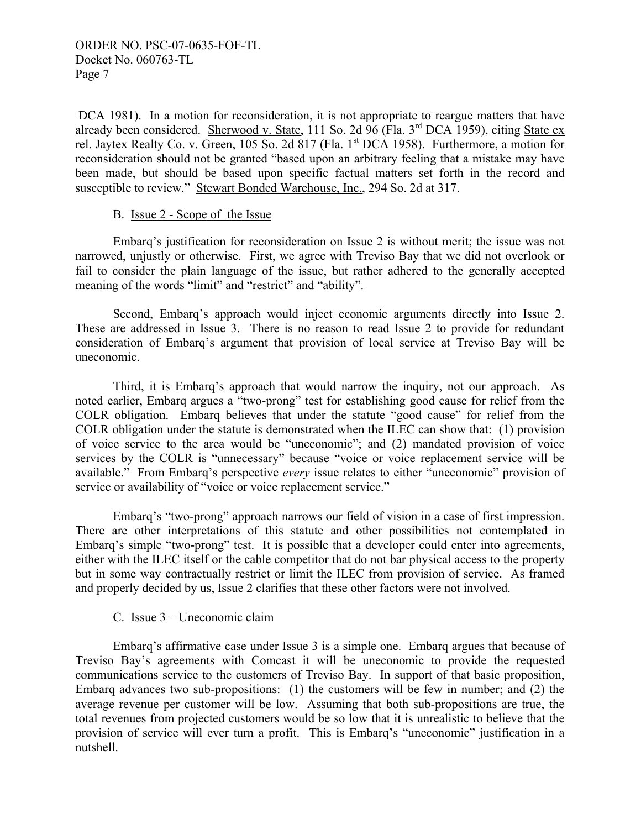DCA 1981). In a motion for reconsideration, it is not appropriate to reargue matters that have already been considered. Sherwood v. State, 111 So. 2d  $\overline{96}$  (Fla. 3<sup>rd</sup> DCA 1959), citing State ex rel. Jaytex Realty Co. v. Green, 105 So. 2d 817 (Fla. 1st DCA 1958). Furthermore, a motion for reconsideration should not be granted "based upon an arbitrary feeling that a mistake may have been made, but should be based upon specific factual matters set forth in the record and susceptible to review." Stewart Bonded Warehouse, Inc., 294 So. 2d at 317.

# B. Issue 2 - Scope of the Issue

Embarq's justification for reconsideration on Issue 2 is without merit; the issue was not narrowed, unjustly or otherwise. First, we agree with Treviso Bay that we did not overlook or fail to consider the plain language of the issue, but rather adhered to the generally accepted meaning of the words "limit" and "restrict" and "ability".

 Second, Embarq's approach would inject economic arguments directly into Issue 2. These are addressed in Issue 3. There is no reason to read Issue 2 to provide for redundant consideration of Embarq's argument that provision of local service at Treviso Bay will be uneconomic.

 Third, it is Embarq's approach that would narrow the inquiry, not our approach. As noted earlier, Embarq argues a "two-prong" test for establishing good cause for relief from the COLR obligation. Embarq believes that under the statute "good cause" for relief from the COLR obligation under the statute is demonstrated when the ILEC can show that: (1) provision of voice service to the area would be "uneconomic"; and (2) mandated provision of voice services by the COLR is "unnecessary" because "voice or voice replacement service will be available." From Embarq's perspective *every* issue relates to either "uneconomic" provision of service or availability of "voice or voice replacement service."

 Embarq's "two-prong" approach narrows our field of vision in a case of first impression. There are other interpretations of this statute and other possibilities not contemplated in Embarq's simple "two-prong" test. It is possible that a developer could enter into agreements, either with the ILEC itself or the cable competitor that do not bar physical access to the property but in some way contractually restrict or limit the ILEC from provision of service. As framed and properly decided by us, Issue 2 clarifies that these other factors were not involved.

# C. Issue 3 – Uneconomic claim

 Embarq's affirmative case under Issue 3 is a simple one. Embarq argues that because of Treviso Bay's agreements with Comcast it will be uneconomic to provide the requested communications service to the customers of Treviso Bay. In support of that basic proposition, Embarq advances two sub-propositions: (1) the customers will be few in number; and (2) the average revenue per customer will be low. Assuming that both sub-propositions are true, the total revenues from projected customers would be so low that it is unrealistic to believe that the provision of service will ever turn a profit. This is Embarq's "uneconomic" justification in a nutshell.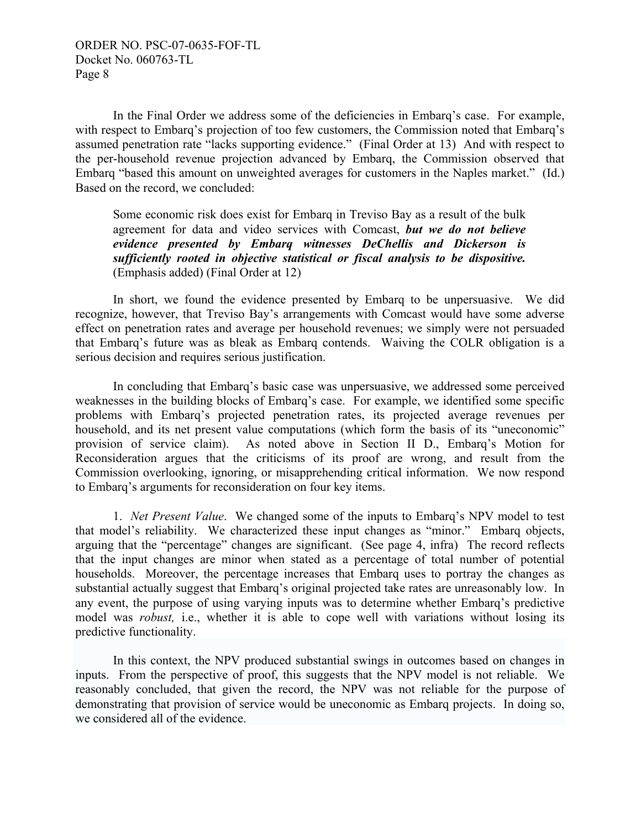In the Final Order we address some of the deficiencies in Embarq's case. For example, with respect to Embarq's projection of too few customers, the Commission noted that Embarq's assumed penetration rate "lacks supporting evidence." (Final Order at 13) And with respect to the per-household revenue projection advanced by Embarq, the Commission observed that Embarq "based this amount on unweighted averages for customers in the Naples market." (Id.) Based on the record, we concluded:

Some economic risk does exist for Embarq in Treviso Bay as a result of the bulk agreement for data and video services with Comcast, *but we do not believe evidence presented by Embarq witnesses DeChellis and Dickerson is sufficiently rooted in objective statistical or fiscal analysis to be dispositive.*  (Emphasis added) (Final Order at 12)

 In short, we found the evidence presented by Embarq to be unpersuasive. We did recognize, however, that Treviso Bay's arrangements with Comcast would have some adverse effect on penetration rates and average per household revenues; we simply were not persuaded that Embarq's future was as bleak as Embarq contends. Waiving the COLR obligation is a serious decision and requires serious justification.

 In concluding that Embarq's basic case was unpersuasive, we addressed some perceived weaknesses in the building blocks of Embarq's case. For example, we identified some specific problems with Embarq's projected penetration rates, its projected average revenues per household, and its net present value computations (which form the basis of its "uneconomic" provision of service claim). As noted above in Section II D., Embarq's Motion for Reconsideration argues that the criticisms of its proof are wrong, and result from the Commission overlooking, ignoring, or misapprehending critical information. We now respond to Embarq's arguments for reconsideration on four key items.

 1. *Net Present Value*. We changed some of the inputs to Embarq's NPV model to test that model's reliability. We characterized these input changes as "minor." Embarq objects, arguing that the "percentage" changes are significant. (See page 4, infra) The record reflects that the input changes are minor when stated as a percentage of total number of potential households. Moreover, the percentage increases that Embarq uses to portray the changes as substantial actually suggest that Embarq's original projected take rates are unreasonably low. In any event, the purpose of using varying inputs was to determine whether Embarq's predictive model was *robust*, *i.e.*, whether it is able to cope well with variations without losing its predictive functionality.

 In this context, the NPV produced substantial swings in outcomes based on changes in inputs. From the perspective of proof, this suggests that the NPV model is not reliable. We reasonably concluded, that given the record, the NPV was not reliable for the purpose of demonstrating that provision of service would be uneconomic as Embarq projects. In doing so, we considered all of the evidence.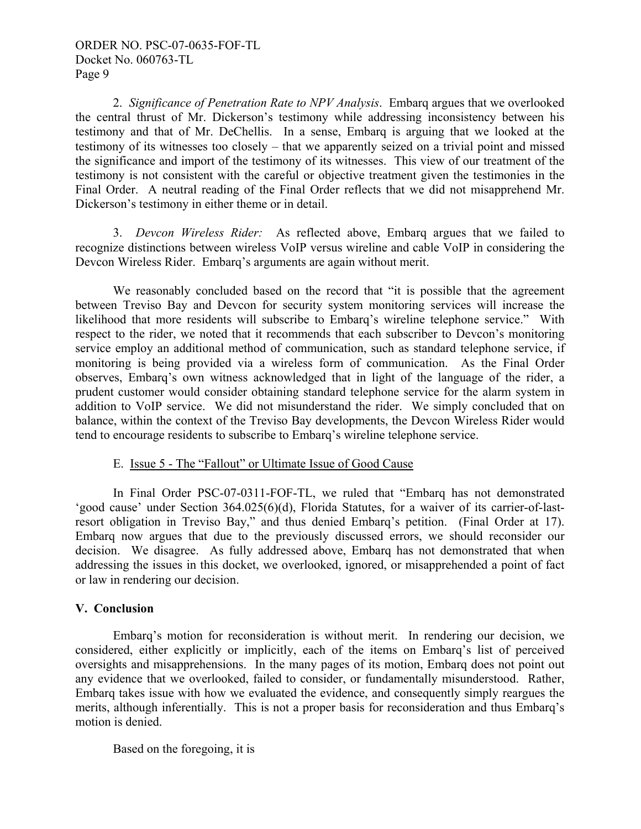2. *Significance of Penetration Rate to NPV Analysis*. Embarq argues that we overlooked the central thrust of Mr. Dickerson's testimony while addressing inconsistency between his testimony and that of Mr. DeChellis. In a sense, Embarq is arguing that we looked at the testimony of its witnesses too closely – that we apparently seized on a trivial point and missed the significance and import of the testimony of its witnesses. This view of our treatment of the testimony is not consistent with the careful or objective treatment given the testimonies in the Final Order. A neutral reading of the Final Order reflects that we did not misapprehend Mr. Dickerson's testimony in either theme or in detail.

 3. *Devcon Wireless Rider:* As reflected above, Embarq argues that we failed to recognize distinctions between wireless VoIP versus wireline and cable VoIP in considering the Devcon Wireless Rider. Embarq's arguments are again without merit.

 We reasonably concluded based on the record that "it is possible that the agreement between Treviso Bay and Devcon for security system monitoring services will increase the likelihood that more residents will subscribe to Embarq's wireline telephone service." With respect to the rider, we noted that it recommends that each subscriber to Devcon's monitoring service employ an additional method of communication, such as standard telephone service, if monitoring is being provided via a wireless form of communication. As the Final Order observes, Embarq's own witness acknowledged that in light of the language of the rider, a prudent customer would consider obtaining standard telephone service for the alarm system in addition to VoIP service. We did not misunderstand the rider. We simply concluded that on balance, within the context of the Treviso Bay developments, the Devcon Wireless Rider would tend to encourage residents to subscribe to Embarq's wireline telephone service.

# E. Issue 5 - The "Fallout" or Ultimate Issue of Good Cause

 In Final Order PSC-07-0311-FOF-TL, we ruled that "Embarq has not demonstrated 'good cause' under Section 364.025(6)(d), Florida Statutes, for a waiver of its carrier-of-lastresort obligation in Treviso Bay," and thus denied Embarq's petition. (Final Order at 17). Embarq now argues that due to the previously discussed errors, we should reconsider our decision. We disagree. As fully addressed above, Embarq has not demonstrated that when addressing the issues in this docket, we overlooked, ignored, or misapprehended a point of fact or law in rendering our decision.

# **V. Conclusion**

 Embarq's motion for reconsideration is without merit. In rendering our decision, we considered, either explicitly or implicitly, each of the items on Embarq's list of perceived oversights and misapprehensions. In the many pages of its motion, Embarq does not point out any evidence that we overlooked, failed to consider, or fundamentally misunderstood. Rather, Embarq takes issue with how we evaluated the evidence, and consequently simply reargues the merits, although inferentially. This is not a proper basis for reconsideration and thus Embarq's motion is denied.

Based on the foregoing, it is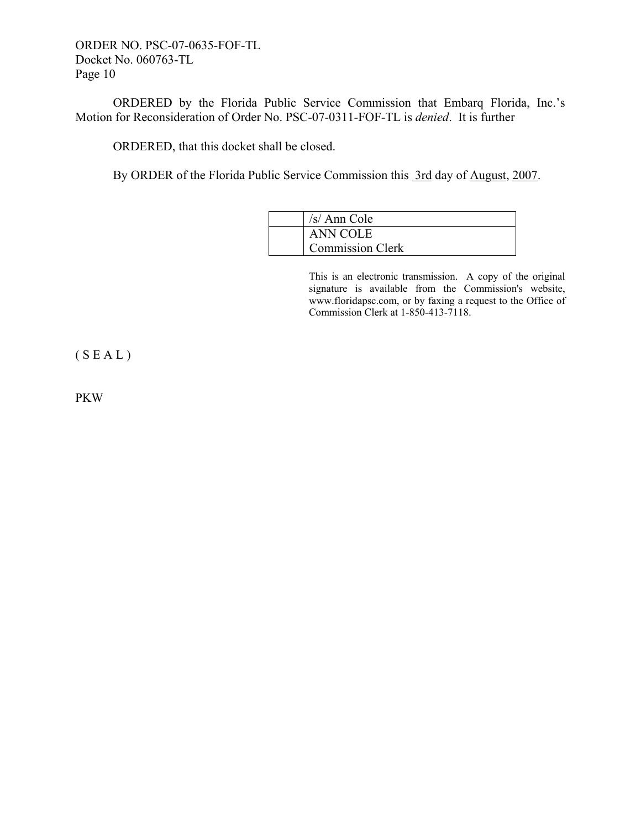ORDER NO. PSC-07-0635-FOF-TL Docket No. 060763-TL Page 10

 ORDERED by the Florida Public Service Commission that Embarq Florida, Inc.'s Motion for Reconsideration of Order No. PSC-07-0311-FOF-TL is *denied*. It is further

ORDERED, that this docket shall be closed.

By ORDER of the Florida Public Service Commission this 3rd day of August, 2007.

| /s/ Ann Cole            |
|-------------------------|
| <b>ANN COLE</b>         |
| <b>Commission Clerk</b> |

This is an electronic transmission. A copy of the original signature is available from the Commission's website, www.floridapsc.com, or by faxing a request to the Office of Commission Clerk at 1-850-413-7118.

 $(S E A L)$ 

PKW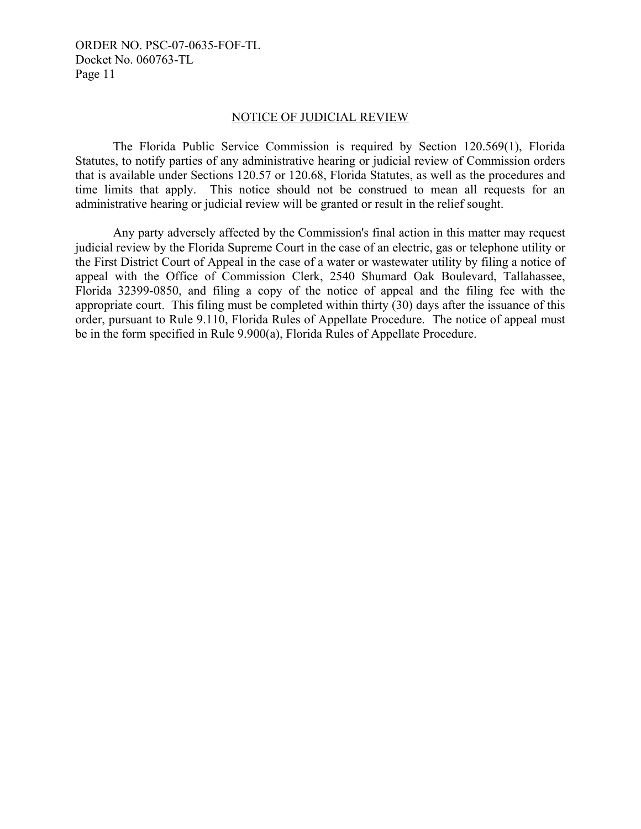ORDER NO. PSC-07-0635-FOF-TL Docket No. 060763-TL Page 11

#### NOTICE OF JUDICIAL REVIEW

 The Florida Public Service Commission is required by Section 120.569(1), Florida Statutes, to notify parties of any administrative hearing or judicial review of Commission orders that is available under Sections 120.57 or 120.68, Florida Statutes, as well as the procedures and time limits that apply. This notice should not be construed to mean all requests for an administrative hearing or judicial review will be granted or result in the relief sought.

 Any party adversely affected by the Commission's final action in this matter may request judicial review by the Florida Supreme Court in the case of an electric, gas or telephone utility or the First District Court of Appeal in the case of a water or wastewater utility by filing a notice of appeal with the Office of Commission Clerk, 2540 Shumard Oak Boulevard, Tallahassee, Florida 32399-0850, and filing a copy of the notice of appeal and the filing fee with the appropriate court. This filing must be completed within thirty (30) days after the issuance of this order, pursuant to Rule 9.110, Florida Rules of Appellate Procedure. The notice of appeal must be in the form specified in Rule 9.900(a), Florida Rules of Appellate Procedure.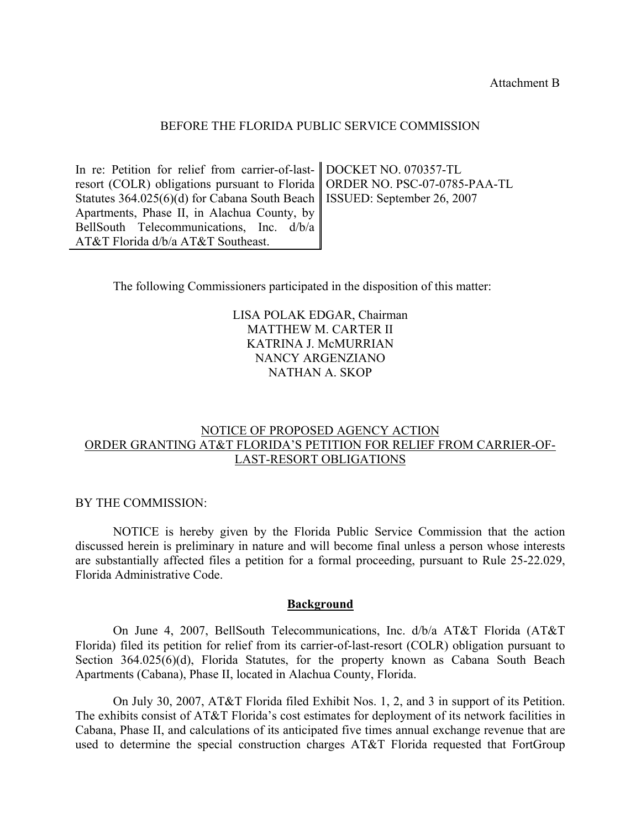Attachment B

#### BEFORE THE FLORIDA PUBLIC SERVICE COMMISSION

In re: Petition for relief from carrier-of-lastresort (COLR) obligations pursuant to Florida Statutes 364.025(6)(d) for Cabana South Beach Apartments, Phase II, in Alachua County, by BellSouth Telecommunications, Inc. d/b/a AT&T Florida d/b/a AT&T Southeast. DOCKET NO. 070357-TL ORDER NO. PSC-07-0785-PAA-TL ISSUED: September 26, 2007

The following Commissioners participated in the disposition of this matter:

# LISA POLAK EDGAR, Chairman MATTHEW M. CARTER II KATRINA J. McMURRIAN NANCY ARGENZIANO NATHAN A. SKOP

# NOTICE OF PROPOSED AGENCY ACTION ORDER GRANTING AT&T FLORIDA'S PETITION FOR RELIEF FROM CARRIER-OF-LAST-RESORT OBLIGATIONS

BY THE COMMISSION:

 NOTICE is hereby given by the Florida Public Service Commission that the action discussed herein is preliminary in nature and will become final unless a person whose interests are substantially affected files a petition for a formal proceeding, pursuant to Rule 25-22.029, Florida Administrative Code.

#### **Background**

On June 4, 2007, BellSouth Telecommunications, Inc. d/b/a AT&T Florida (AT&T Florida) filed its petition for relief from its carrier-of-last-resort (COLR) obligation pursuant to Section 364.025(6)(d), Florida Statutes, for the property known as Cabana South Beach Apartments (Cabana), Phase II, located in Alachua County, Florida.

 On July 30, 2007, AT&T Florida filed Exhibit Nos. 1, 2, and 3 in support of its Petition. The exhibits consist of AT&T Florida's cost estimates for deployment of its network facilities in Cabana, Phase II, and calculations of its anticipated five times annual exchange revenue that are used to determine the special construction charges AT&T Florida requested that FortGroup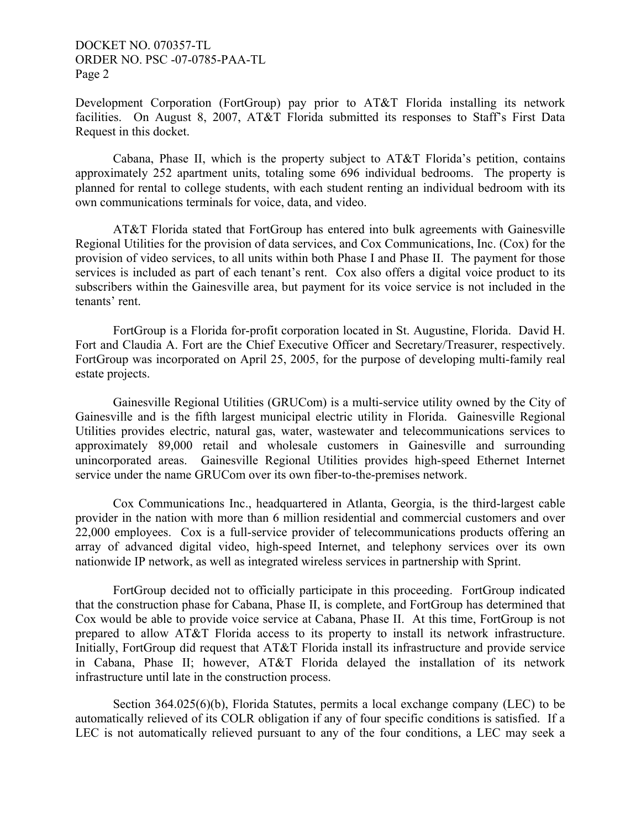Development Corporation (FortGroup) pay prior to AT&T Florida installing its network facilities. On August 8, 2007, AT&T Florida submitted its responses to Staff's First Data Request in this docket.

Cabana, Phase II, which is the property subject to AT&T Florida's petition, contains approximately 252 apartment units, totaling some 696 individual bedrooms. The property is planned for rental to college students, with each student renting an individual bedroom with its own communications terminals for voice, data, and video.

 AT&T Florida stated that FortGroup has entered into bulk agreements with Gainesville Regional Utilities for the provision of data services, and Cox Communications, Inc. (Cox) for the provision of video services, to all units within both Phase I and Phase II. The payment for those services is included as part of each tenant's rent. Cox also offers a digital voice product to its subscribers within the Gainesville area, but payment for its voice service is not included in the tenants' rent.

 FortGroup is a Florida for-profit corporation located in St. Augustine, Florida. David H. Fort and Claudia A. Fort are the Chief Executive Officer and Secretary/Treasurer, respectively. FortGroup was incorporated on April 25, 2005, for the purpose of developing multi-family real estate projects.

 Gainesville Regional Utilities (GRUCom) is a multi-service utility owned by the City of Gainesville and is the fifth largest municipal electric utility in Florida. Gainesville Regional Utilities provides electric, natural gas, water, wastewater and telecommunications services to approximately 89,000 retail and wholesale customers in Gainesville and surrounding unincorporated areas. Gainesville Regional Utilities provides high-speed Ethernet Internet service under the name GRUCom over its own fiber-to-the-premises network.

 Cox Communications Inc., headquartered in Atlanta, Georgia, is the third-largest cable provider in the nation with more than 6 million residential and commercial customers and over 22,000 employees. Cox is a full-service provider of telecommunications products offering an array of advanced digital video, high-speed Internet, and telephony services over its own nationwide IP network, as well as integrated wireless services in partnership with Sprint.

FortGroup decided not to officially participate in this proceeding. FortGroup indicated that the construction phase for Cabana, Phase II, is complete, and FortGroup has determined that Cox would be able to provide voice service at Cabana, Phase II. At this time, FortGroup is not prepared to allow AT&T Florida access to its property to install its network infrastructure. Initially, FortGroup did request that AT&T Florida install its infrastructure and provide service in Cabana, Phase II; however, AT&T Florida delayed the installation of its network infrastructure until late in the construction process.

Section 364.025(6)(b), Florida Statutes, permits a local exchange company (LEC) to be automatically relieved of its COLR obligation if any of four specific conditions is satisfied. If a LEC is not automatically relieved pursuant to any of the four conditions, a LEC may seek a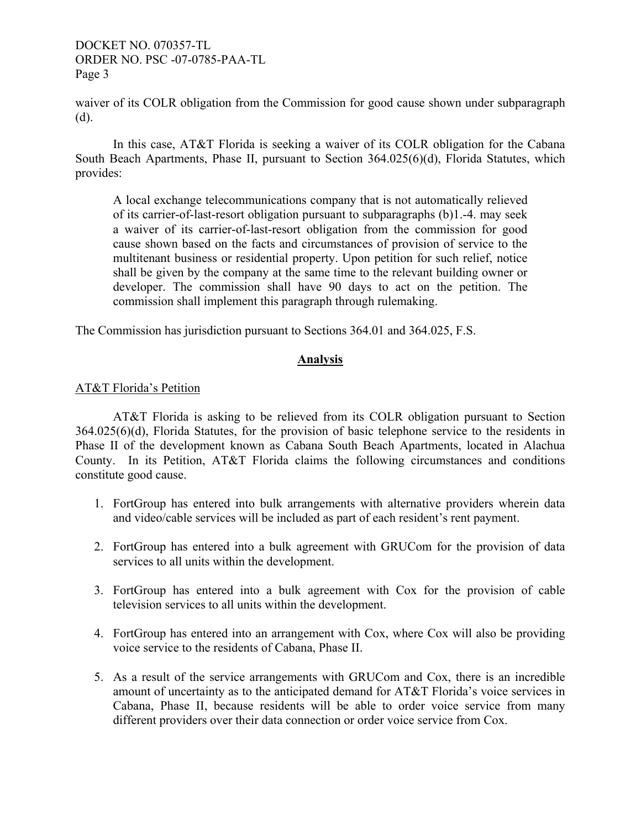waiver of its COLR obligation from the Commission for good cause shown under subparagraph (d).

In this case, AT&T Florida is seeking a waiver of its COLR obligation for the Cabana South Beach Apartments, Phase II, pursuant to Section 364.025(6)(d), Florida Statutes, which provides:

A local exchange telecommunications company that is not automatically relieved of its carrier-of-last-resort obligation pursuant to subparagraphs (b)1.-4. may seek a waiver of its carrier-of-last-resort obligation from the commission for good cause shown based on the facts and circumstances of provision of service to the multitenant business or residential property. Upon petition for such relief, notice shall be given by the company at the same time to the relevant building owner or developer. The commission shall have 90 days to act on the petition. The commission shall implement this paragraph through rulemaking.

The Commission has jurisdiction pursuant to Sections 364.01 and 364.025, F.S.

# **Analysis**

# AT&T Florida's Petition

AT&T Florida is asking to be relieved from its COLR obligation pursuant to Section 364.025(6)(d), Florida Statutes, for the provision of basic telephone service to the residents in Phase II of the development known as Cabana South Beach Apartments, located in Alachua County. In its Petition, AT&T Florida claims the following circumstances and conditions constitute good cause.

- 1. FortGroup has entered into bulk arrangements with alternative providers wherein data and video/cable services will be included as part of each resident's rent payment.
- 2. FortGroup has entered into a bulk agreement with GRUCom for the provision of data services to all units within the development.
- 3. FortGroup has entered into a bulk agreement with Cox for the provision of cable television services to all units within the development.
- 4. FortGroup has entered into an arrangement with Cox, where Cox will also be providing voice service to the residents of Cabana, Phase II.
- 5. As a result of the service arrangements with GRUCom and Cox, there is an incredible amount of uncertainty as to the anticipated demand for AT&T Florida's voice services in Cabana, Phase II, because residents will be able to order voice service from many different providers over their data connection or order voice service from Cox.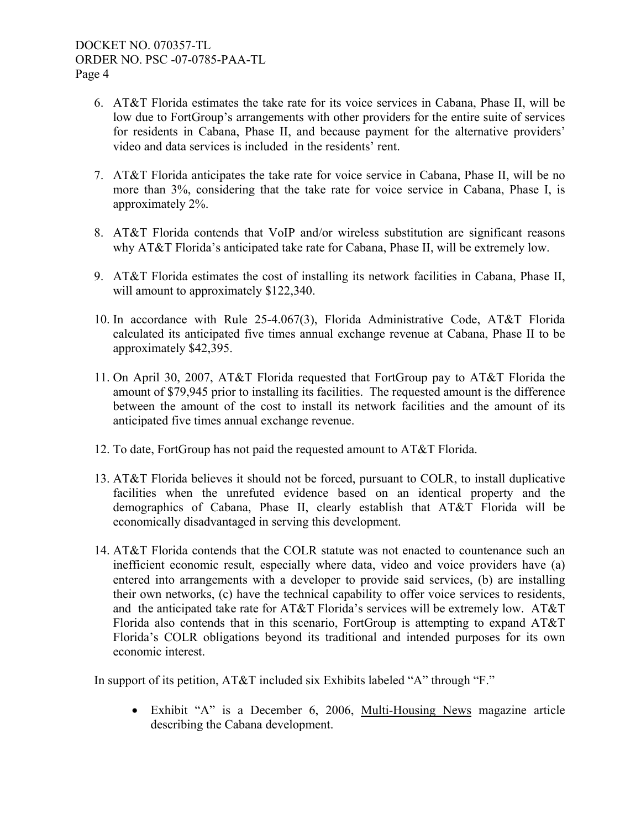- 6. AT&T Florida estimates the take rate for its voice services in Cabana, Phase II, will be low due to FortGroup's arrangements with other providers for the entire suite of services for residents in Cabana, Phase II, and because payment for the alternative providers' video and data services is included in the residents' rent.
- 7. AT&T Florida anticipates the take rate for voice service in Cabana, Phase II, will be no more than 3%, considering that the take rate for voice service in Cabana, Phase I, is approximately 2%.
- 8. AT&T Florida contends that VoIP and/or wireless substitution are significant reasons why AT&T Florida's anticipated take rate for Cabana, Phase II, will be extremely low.
- 9. AT&T Florida estimates the cost of installing its network facilities in Cabana, Phase II, will amount to approximately \$122,340.
- 10. In accordance with Rule 25-4.067(3), Florida Administrative Code, AT&T Florida calculated its anticipated five times annual exchange revenue at Cabana, Phase II to be approximately \$42,395.
- 11. On April 30, 2007, AT&T Florida requested that FortGroup pay to AT&T Florida the amount of \$79,945 prior to installing its facilities. The requested amount is the difference between the amount of the cost to install its network facilities and the amount of its anticipated five times annual exchange revenue.
- 12. To date, FortGroup has not paid the requested amount to AT&T Florida.
- 13. AT&T Florida believes it should not be forced, pursuant to COLR, to install duplicative facilities when the unrefuted evidence based on an identical property and the demographics of Cabana, Phase II, clearly establish that AT&T Florida will be economically disadvantaged in serving this development.
- 14. AT&T Florida contends that the COLR statute was not enacted to countenance such an inefficient economic result, especially where data, video and voice providers have (a) entered into arrangements with a developer to provide said services, (b) are installing their own networks, (c) have the technical capability to offer voice services to residents, and the anticipated take rate for AT&T Florida's services will be extremely low. AT&T Florida also contends that in this scenario, FortGroup is attempting to expand AT&T Florida's COLR obligations beyond its traditional and intended purposes for its own economic interest.

In support of its petition, AT&T included six Exhibits labeled "A" through "F."

• Exhibit "A" is a December 6, 2006, Multi-Housing News magazine article describing the Cabana development.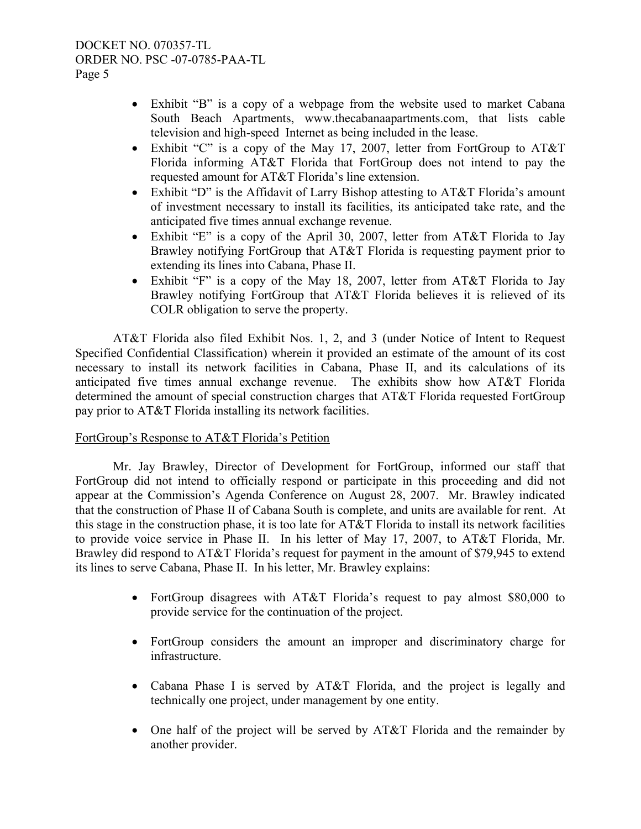- Exhibit "B" is a copy of a webpage from the website used to market Cabana South Beach Apartments, www.thecabanaapartments.com, that lists cable television and high-speed Internet as being included in the lease.
- Exhibit "C" is a copy of the May 17, 2007, letter from FortGroup to AT&T Florida informing AT&T Florida that FortGroup does not intend to pay the requested amount for AT&T Florida's line extension.
- Exhibit "D" is the Affidavit of Larry Bishop attesting to AT&T Florida's amount of investment necessary to install its facilities, its anticipated take rate, and the anticipated five times annual exchange revenue.
- Exhibit "E" is a copy of the April 30, 2007, letter from AT&T Florida to Jay Brawley notifying FortGroup that AT&T Florida is requesting payment prior to extending its lines into Cabana, Phase II.
- Exhibit "F" is a copy of the May 18, 2007, letter from AT&T Florida to Jay Brawley notifying FortGroup that AT&T Florida believes it is relieved of its COLR obligation to serve the property.

 AT&T Florida also filed Exhibit Nos. 1, 2, and 3 (under Notice of Intent to Request Specified Confidential Classification) wherein it provided an estimate of the amount of its cost necessary to install its network facilities in Cabana, Phase II, and its calculations of its anticipated five times annual exchange revenue. The exhibits show how AT&T Florida determined the amount of special construction charges that AT&T Florida requested FortGroup pay prior to AT&T Florida installing its network facilities.

# FortGroup's Response to AT&T Florida's Petition

 Mr. Jay Brawley, Director of Development for FortGroup, informed our staff that FortGroup did not intend to officially respond or participate in this proceeding and did not appear at the Commission's Agenda Conference on August 28, 2007. Mr. Brawley indicated that the construction of Phase II of Cabana South is complete, and units are available for rent. At this stage in the construction phase, it is too late for AT&T Florida to install its network facilities to provide voice service in Phase II. In his letter of May 17, 2007, to AT&T Florida, Mr. Brawley did respond to AT&T Florida's request for payment in the amount of \$79,945 to extend its lines to serve Cabana, Phase II. In his letter, Mr. Brawley explains:

- FortGroup disagrees with AT&T Florida's request to pay almost \$80,000 to provide service for the continuation of the project.
- FortGroup considers the amount an improper and discriminatory charge for infrastructure.
- Cabana Phase I is served by AT&T Florida, and the project is legally and technically one project, under management by one entity.
- One half of the project will be served by AT&T Florida and the remainder by another provider.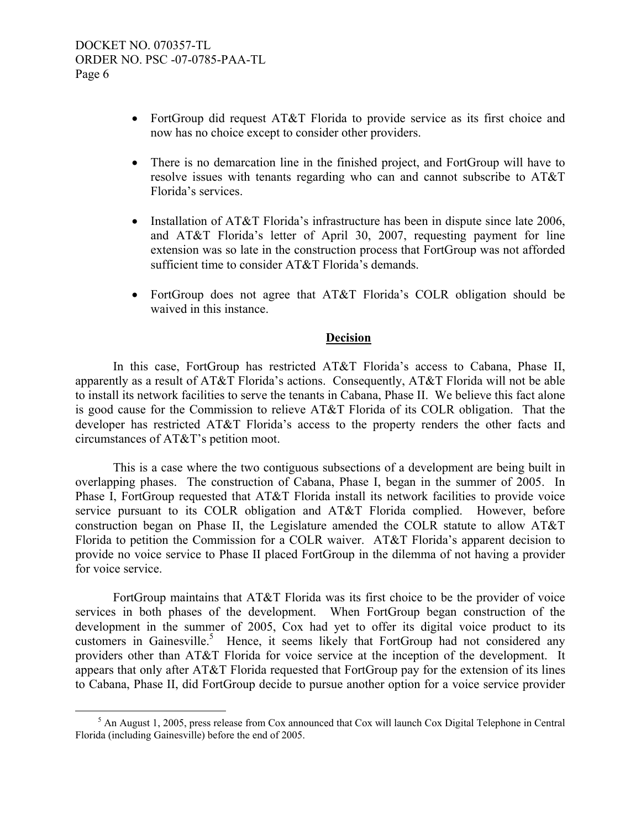- FortGroup did request AT&T Florida to provide service as its first choice and now has no choice except to consider other providers.
- There is no demarcation line in the finished project, and FortGroup will have to resolve issues with tenants regarding who can and cannot subscribe to AT&T Florida's services.
- Installation of AT&T Florida's infrastructure has been in dispute since late 2006, and AT&T Florida's letter of April 30, 2007, requesting payment for line extension was so late in the construction process that FortGroup was not afforded sufficient time to consider AT&T Florida's demands.
- FortGroup does not agree that AT&T Florida's COLR obligation should be waived in this instance.

# **Decision**

 In this case, FortGroup has restricted AT&T Florida's access to Cabana, Phase II, apparently as a result of AT&T Florida's actions. Consequently, AT&T Florida will not be able to install its network facilities to serve the tenants in Cabana, Phase II. We believe this fact alone is good cause for the Commission to relieve AT&T Florida of its COLR obligation. That the developer has restricted AT&T Florida's access to the property renders the other facts and circumstances of AT&T's petition moot.

 This is a case where the two contiguous subsections of a development are being built in overlapping phases. The construction of Cabana, Phase I, began in the summer of 2005. In Phase I, FortGroup requested that AT&T Florida install its network facilities to provide voice service pursuant to its COLR obligation and AT&T Florida complied. However, before construction began on Phase II, the Legislature amended the COLR statute to allow AT&T Florida to petition the Commission for a COLR waiver. AT&T Florida's apparent decision to provide no voice service to Phase II placed FortGroup in the dilemma of not having a provider for voice service.

 FortGroup maintains that AT&T Florida was its first choice to be the provider of voice services in both phases of the development. When FortGroup began construction of the development in the summer of 2005, Cox had yet to offer its digital voice product to its customers in Gainesville.<sup>5</sup> Hence, it seems likely that FortGroup had not considered any providers other than AT&T Florida for voice service at the inception of the development. It appears that only after AT&T Florida requested that FortGroup pay for the extension of its lines to Cabana, Phase II, did FortGroup decide to pursue another option for a voice service provider

 $rac{1}{5}$  $<sup>5</sup>$  An August 1, 2005, press release from Cox announced that Cox will launch Cox Digital Telephone in Central</sup> Florida (including Gainesville) before the end of 2005.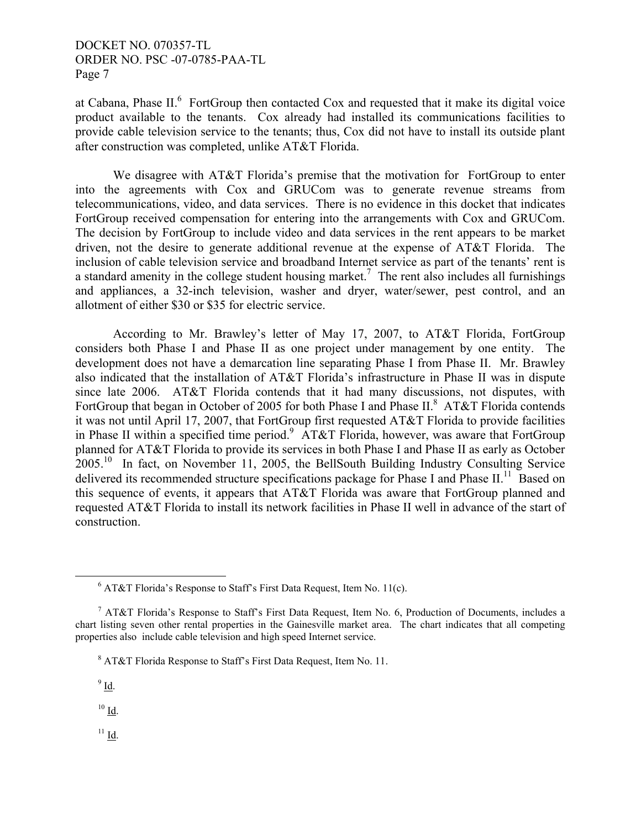at Cabana, Phase  $II$ <sup>6</sup> FortGroup then contacted Cox and requested that it make its digital voice product available to the tenants. Cox already had installed its communications facilities to provide cable television service to the tenants; thus, Cox did not have to install its outside plant after construction was completed, unlike AT&T Florida.

 We disagree with AT&T Florida's premise that the motivation for FortGroup to enter into the agreements with Cox and GRUCom was to generate revenue streams from telecommunications, video, and data services. There is no evidence in this docket that indicates FortGroup received compensation for entering into the arrangements with Cox and GRUCom. The decision by FortGroup to include video and data services in the rent appears to be market driven, not the desire to generate additional revenue at the expense of AT&T Florida. The inclusion of cable television service and broadband Internet service as part of the tenants' rent is a standard amenity in the college student housing market.<sup>7</sup> The rent also includes all furnishings and appliances, a 32-inch television, washer and dryer, water/sewer, pest control, and an allotment of either \$30 or \$35 for electric service.

 According to Mr. Brawley's letter of May 17, 2007, to AT&T Florida, FortGroup considers both Phase I and Phase II as one project under management by one entity. The development does not have a demarcation line separating Phase I from Phase II. Mr. Brawley also indicated that the installation of AT&T Florida's infrastructure in Phase II was in dispute since late 2006. AT&T Florida contends that it had many discussions, not disputes, with FortGroup that began in October of 2005 for both Phase I and Phase II.<sup>8</sup> AT&T Florida contends it was not until April 17, 2007, that FortGroup first requested AT&T Florida to provide facilities in Phase II within a specified time period.<sup>9</sup> AT&T Florida, however, was aware that FortGroup planned for AT&T Florida to provide its services in both Phase I and Phase II as early as October 2005.10 In fact, on November 11, 2005, the BellSouth Building Industry Consulting Service delivered its recommended structure specifications package for Phase I and Phase II.<sup>11</sup> Based on this sequence of events, it appears that AT&T Florida was aware that FortGroup planned and requested AT&T Florida to install its network facilities in Phase II well in advance of the start of construction.

 $9$  Id.

 $10$  Id.

 $^{11}$  <u>Id</u>.

 <sup>6</sup>  $6$  AT&T Florida's Response to Staff's First Data Request, Item No. 11(c).

<sup>&</sup>lt;sup>7</sup> AT&T Florida's Response to Staff's First Data Request, Item No. 6, Production of Documents, includes a chart listing seven other rental properties in the Gainesville market area. The chart indicates that all competing properties also include cable television and high speed Internet service.

<sup>&</sup>lt;sup>8</sup> AT&T Florida Response to Staff's First Data Request, Item No. 11.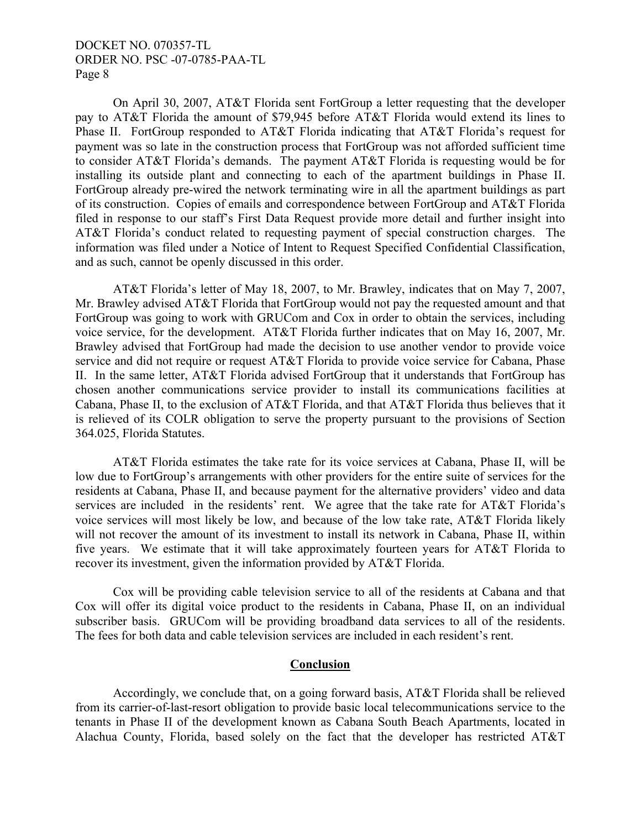On April 30, 2007, AT&T Florida sent FortGroup a letter requesting that the developer pay to AT&T Florida the amount of \$79,945 before AT&T Florida would extend its lines to Phase II. FortGroup responded to AT&T Florida indicating that AT&T Florida's request for payment was so late in the construction process that FortGroup was not afforded sufficient time to consider AT&T Florida's demands. The payment AT&T Florida is requesting would be for installing its outside plant and connecting to each of the apartment buildings in Phase II. FortGroup already pre-wired the network terminating wire in all the apartment buildings as part of its construction. Copies of emails and correspondence between FortGroup and AT&T Florida filed in response to our staff's First Data Request provide more detail and further insight into AT&T Florida's conduct related to requesting payment of special construction charges. The information was filed under a Notice of Intent to Request Specified Confidential Classification, and as such, cannot be openly discussed in this order.

 AT&T Florida's letter of May 18, 2007, to Mr. Brawley, indicates that on May 7, 2007, Mr. Brawley advised AT&T Florida that FortGroup would not pay the requested amount and that FortGroup was going to work with GRUCom and Cox in order to obtain the services, including voice service, for the development. AT&T Florida further indicates that on May 16, 2007, Mr. Brawley advised that FortGroup had made the decision to use another vendor to provide voice service and did not require or request AT&T Florida to provide voice service for Cabana, Phase II. In the same letter, AT&T Florida advised FortGroup that it understands that FortGroup has chosen another communications service provider to install its communications facilities at Cabana, Phase II, to the exclusion of AT&T Florida, and that AT&T Florida thus believes that it is relieved of its COLR obligation to serve the property pursuant to the provisions of Section 364.025, Florida Statutes.

 AT&T Florida estimates the take rate for its voice services at Cabana, Phase II, will be low due to FortGroup's arrangements with other providers for the entire suite of services for the residents at Cabana, Phase II, and because payment for the alternative providers' video and data services are included in the residents' rent. We agree that the take rate for AT&T Florida's voice services will most likely be low, and because of the low take rate, AT&T Florida likely will not recover the amount of its investment to install its network in Cabana, Phase II, within five years. We estimate that it will take approximately fourteen years for AT&T Florida to recover its investment, given the information provided by AT&T Florida.

 Cox will be providing cable television service to all of the residents at Cabana and that Cox will offer its digital voice product to the residents in Cabana, Phase II, on an individual subscriber basis. GRUCom will be providing broadband data services to all of the residents. The fees for both data and cable television services are included in each resident's rent.

#### **Conclusion**

 Accordingly, we conclude that, on a going forward basis, AT&T Florida shall be relieved from its carrier-of-last-resort obligation to provide basic local telecommunications service to the tenants in Phase II of the development known as Cabana South Beach Apartments, located in Alachua County, Florida, based solely on the fact that the developer has restricted AT&T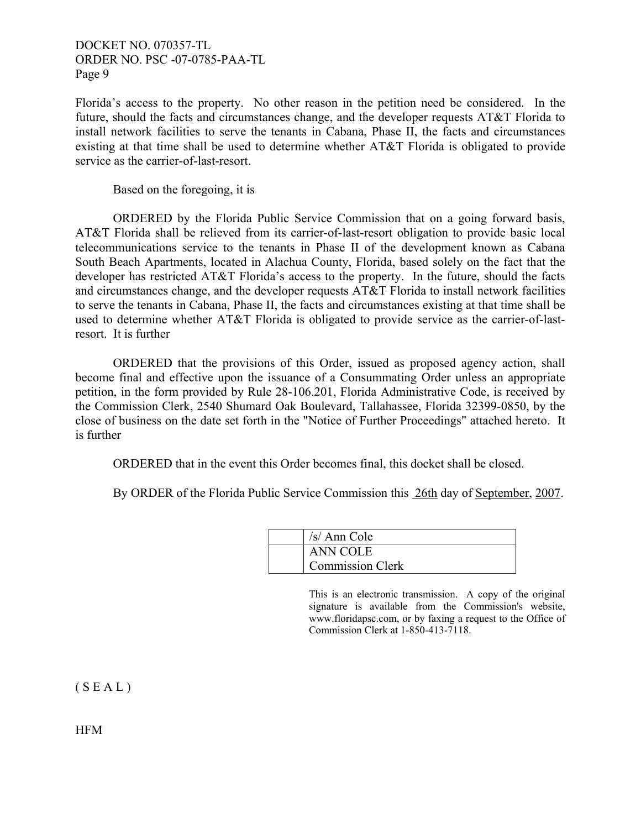Florida's access to the property. No other reason in the petition need be considered. In the future, should the facts and circumstances change, and the developer requests AT&T Florida to install network facilities to serve the tenants in Cabana, Phase II, the facts and circumstances existing at that time shall be used to determine whether AT&T Florida is obligated to provide service as the carrier-of-last-resort.

Based on the foregoing, it is

 ORDERED by the Florida Public Service Commission that on a going forward basis, AT&T Florida shall be relieved from its carrier-of-last-resort obligation to provide basic local telecommunications service to the tenants in Phase II of the development known as Cabana South Beach Apartments, located in Alachua County, Florida, based solely on the fact that the developer has restricted AT&T Florida's access to the property. In the future, should the facts and circumstances change, and the developer requests AT&T Florida to install network facilities to serve the tenants in Cabana, Phase II, the facts and circumstances existing at that time shall be used to determine whether AT&T Florida is obligated to provide service as the carrier-of-lastresort. It is further

 ORDERED that the provisions of this Order, issued as proposed agency action, shall become final and effective upon the issuance of a Consummating Order unless an appropriate petition, in the form provided by Rule 28-106.201, Florida Administrative Code, is received by the Commission Clerk, 2540 Shumard Oak Boulevard, Tallahassee, Florida 32399-0850, by the close of business on the date set forth in the "Notice of Further Proceedings" attached hereto. It is further

ORDERED that in the event this Order becomes final, this docket shall be closed.

By ORDER of the Florida Public Service Commission this 26th day of September, 2007.

| $/s/$ Ann Cole          |
|-------------------------|
| <b>ANN COLE</b>         |
| <b>Commission Clerk</b> |

This is an electronic transmission. A copy of the original signature is available from the Commission's website, www.floridapsc.com, or by faxing a request to the Office of Commission Clerk at 1-850-413-7118.

 $(S E A L)$ 

HFM